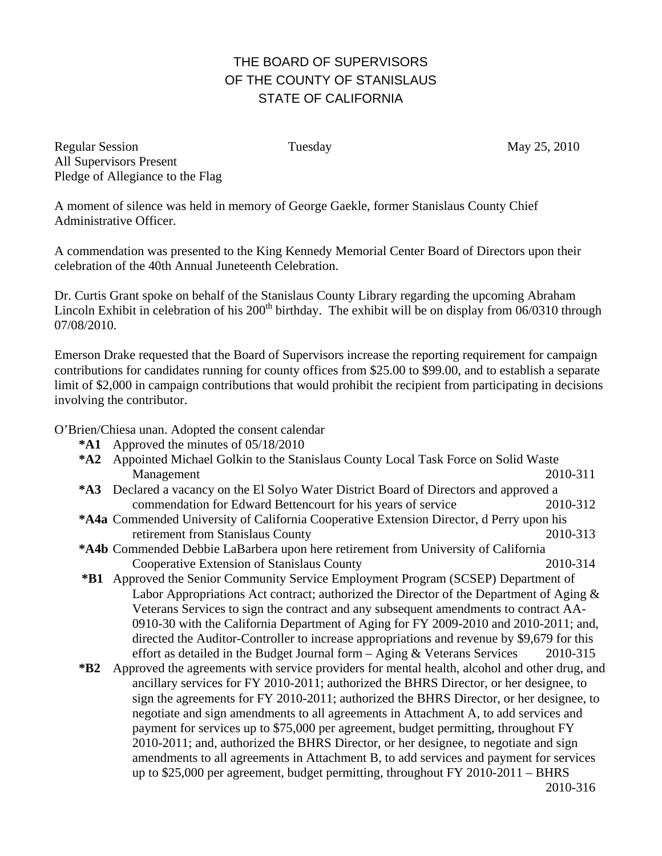## THE BOARD OF SUPERVISORS OF THE COUNTY OF STANISLAUS STATE OF CALIFORNIA

Regular Session Tuesday May 25, 2010 All Supervisors Present Pledge of Allegiance to the Flag

A moment of silence was held in memory of George Gaekle, former Stanislaus County Chief Administrative Officer.

A commendation was presented to the King Kennedy Memorial Center Board of Directors upon their celebration of the 40th Annual Juneteenth Celebration.

Dr. Curtis Grant spoke on behalf of the Stanislaus County Library regarding the upcoming Abraham Lincoln Exhibit in celebration of his  $200<sup>th</sup>$  birthday. The exhibit will be on display from  $06/0310$  through 07/08/2010.

Emerson Drake requested that the Board of Supervisors increase the reporting requirement for campaign contributions for candidates running for county offices from \$25.00 to \$99.00, and to establish a separate limit of \$2,000 in campaign contributions that would prohibit the recipient from participating in decisions involving the contributor.

O'Brien/Chiesa unan. Adopted the consent calendar

- **\*A1** Approved the minutes of 05/18/2010
- **\*A2** Appointed Michael Golkin to the Stanislaus County Local Task Force on Solid Waste Management 2010-311
- **\*A3** Declared a vacancy on the El Solyo Water District Board of Directors and approved a commendation for Edward Bettencourt for his years of service 2010-312
- **\*A4 a** Commended University of California Cooperative Extension Director, d Perry upon his retirement from Stanislaus County 2010-313
- **\*A4b** Commended Debbie LaBarbera upon here retirement from University of California Cooperative Extension of Stanislaus County 2010-314
- **\*B1** Approved the Senior Community Service Employment Program (SCSEP) Department of Labor Appropriations Act contract; authorized the Director of the Department of Aging  $\&$ Veterans Services to sign the contract and any subsequent amendments to contract AA-0910-30 with the California Department of Aging for FY 2009-2010 and 2010-2011; and, directed the Auditor-Controller to increase appropriations and revenue by \$9,679 for this effort as detailed in the Budget Journal form – Aging & Veterans Services 2010-315
- **\*B2** Approved the agreements with service providers for mental health, alcohol and other drug, and ancillary services for FY 2010-2011; authorized the BHRS Director, or her designee, to sign the agreements for FY 2010-2011; authorized the BHRS Director, or her designee, to negotiate and sign amendments to all agreements in Attachment A, to add services and payment for services up to \$75,000 per agreement, budget permitting, throughout FY 2010-2011; and, authorized the BHRS Director, or her designee, to negotiate and sign amendments to all agreements in Attachment B, to add services and payment for services up to \$25,000 per agreement, budget permitting, throughout FY 2010-2011 – BHRS 2010-316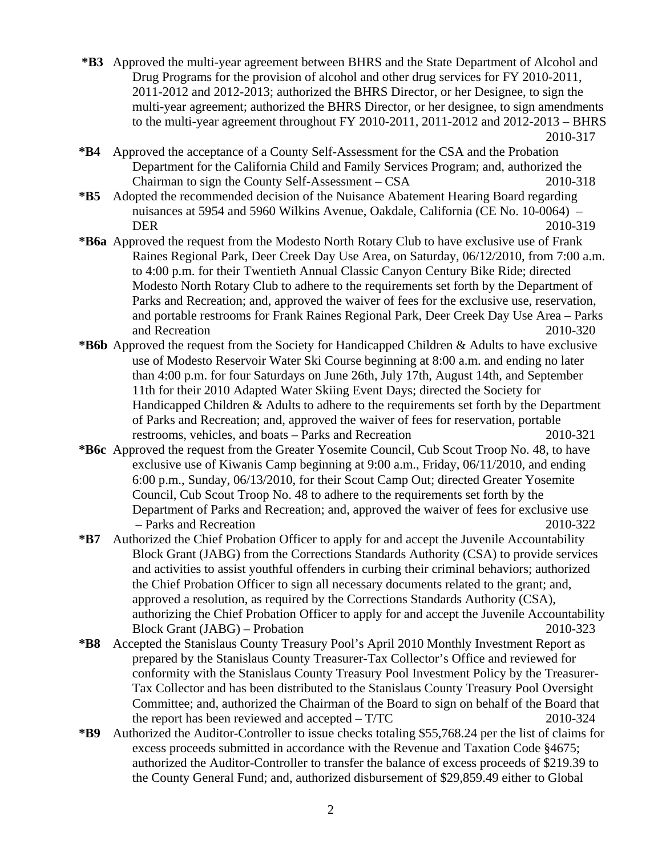- **\*B3** Approved the multi-year agreement between BHRS and the State Department of Alcohol and Drug Programs for the provision of alcohol and other drug services for FY 2010-2011, 2011-2012 and 2012-2013; authorized the BHRS Director, or her Designee, to sign the multi-year agreement; authorized the BHRS Director, or her designee, to sign amendments to the multi-year agreement throughout FY 2010-2011, 2011-2012 and 2012-2013 – BHRS 2010-317
- **\*B4** Approved the acceptance of a County Self-Assessment for the CSA and the Probation Department for the California Child and Family Services Program; and, authorized the Chairman to sign the County Self-Assessment – CSA 2010-318
- **\*B5** Adopted the recommended decision of the Nuisance Abatement Hearing Board regarding nuisances at 5954 and 5960 Wilkins Avenue, Oakdale, California (CE No. 10-0064) – DER 2010-319
- **\*B6a** Approved the request from the Modesto North Rotary Club to have exclusive use of Frank Raines Regional Park, Deer Creek Day Use Area, on Saturday, 06/12/2010, from 7:00 a.m. to 4:00 p.m. for their Twentieth Annual Classic Canyon Century Bike Ride; directed Modesto North Rotary Club to adhere to the requirements set forth by the Department of Parks and Recreation; and, approved the waiver of fees for the exclusive use, reservation, and portable restrooms for Frank Raines Regional Park, Deer Creek Day Use Area – Parks and Recreation 2010-320
- **\*B6b** Approved the request from the Society for Handicapped Children & Adults to have exclusive use of Modesto Reservoir Water Ski Course beginning at 8:00 a.m. and ending no later than 4:00 p.m. for four Saturdays on June 26th, July 17th, August 14th, and September 11th for their 2010 Adapted Water Skiing Event Days; directed the Society for Handicapped Children & Adults to adhere to the requirements set forth by the Department of Parks and Recreation; and, approved the waiver of fees for reservation, portable restrooms, vehicles, and boats – Parks and Recreation 2010-321
- **\*B6c** Approved the request from the Greater Yosemite Council, Cub Scout Troop No. 48, to have exclusive use of Kiwanis Camp beginning at 9:00 a.m., Friday, 06/11/2010, and ending 6:00 p.m., Sunday, 06/13/2010, for their Scout Camp Out; directed Greater Yosemite Council, Cub Scout Troop No. 48 to adhere to the requirements set forth by the Department of Parks and Recreation; and, approved the waiver of fees for exclusive use – Parks and Recreation 2010-322
- **\*B7** Authorized the Chief Probation Officer to apply for and accept the Juvenile Accountability Block Grant (JABG) from the Corrections Standards Authority (CSA) to provide services and activities to assist youthful offenders in curbing their criminal behaviors; authorized the Chief Probation Officer to sign all necessary documents related to the grant; and, approved a resolution, as required by the Corrections Standards Authority (CSA), authorizing the Chief Probation Officer to apply for and accept the Juvenile Accountability Block Grant (JABG) – Probation 2010-323
- **\*B8** Accepted the Stanislaus County Treasury Pool's April 2010 Monthly Investment Report as prepared by the Stanislaus County Treasurer-Tax Collector's Office and reviewed for conformity with the Stanislaus County Treasury Pool Investment Policy by the Treasurer-Tax Collector and has been distributed to the Stanislaus County Treasury Pool Oversight Committee; and, authorized the Chairman of the Board to sign on behalf of the Board that the report has been reviewed and accepted – T/TC 2010-324
- **\*B9** Authorized the Auditor-Controller to issue checks totaling \$55,768.24 per the list of claims for excess proceeds submitted in accordance with the Revenue and Taxation Code §4675; authorized the Auditor-Controller to transfer the balance of excess proceeds of \$219.39 to the County General Fund; and, authorized disbursement of \$29,859.49 either to Global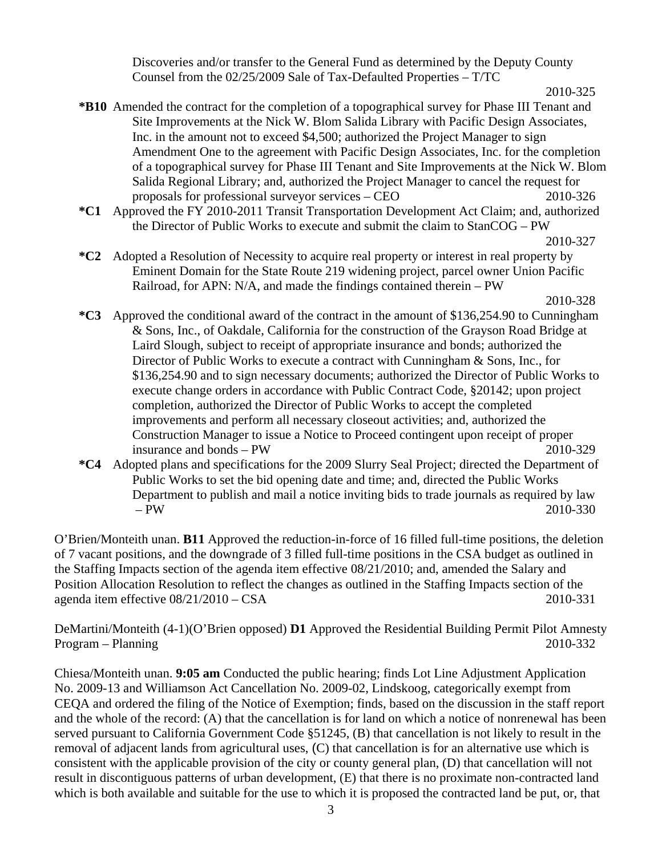Discoveries and/or transfer to the General Fund as determined by the Deputy County Counsel from the 02/25/2009 Sale of Tax-Defaulted Properties – T/TC

**\*B10** Amended the contract for the completion of a topographical survey for Phase III Tenant and Site Improvements at the Nick W. Blom Salida Library with Pacific Design Associates, Inc. in the amount not to exceed \$4,500; authorized the Project Manager to sign Amendment One to the agreement with Pacific Design Associates, Inc. for the completion of a topographical survey for Phase III Tenant and Site Improvements at the Nick W. Blom Salida Regional Library; and, authorized the Project Manager to cancel the request for proposals for professional surveyor services – CEO 2010-326

- **\*C1** Approved the FY 2010-2011 Transit Transportation Development Act Claim; and, authorized the Director of Public Works to execute and submit the claim to StanCOG – PW
- 2010-327
- **\*C2** Adopted a Resolution of Necessity to acquire real property or interest in real property by Eminent Domain for the State Route 219 widening project, parcel owner Union Pacific Railroad, for APN: N/A, and made the findings contained therein – PW

2010-328

- **\*C3** Approved the conditional award of the contract in the amount of \$136,254.90 to Cunningham & Sons, Inc., of Oakdale, California for the construction of the Grayson Road Bridge at Laird Slough, subject to receipt of appropriate insurance and bonds; authorized the Director of Public Works to execute a contract with Cunningham & Sons, Inc., for \$136,254.90 and to sign necessary documents; authorized the Director of Public Works to execute change orders in accordance with Public Contract Code, §20142; upon project completion, authorized the Director of Public Works to accept the completed improvements and perform all necessary closeout activities; and, authorized the Construction Manager to issue a Notice to Proceed contingent upon receipt of proper insurance and bonds – PW 2010-329
- **\*C4** Adopted plans and specifications for the 2009 Slurry Seal Project; directed the Department of Public Works to set the bid opening date and time; and, directed the Public Works Department to publish and mail a notice inviting bids to trade journals as required by law – PW 2010-330

O'Brien/Monteith unan. **B11** Approved the reduction-in-force of 16 filled full-time positions, the deletion of 7 vacant positions, and the downgrade of 3 filled full-time positions in the CSA budget as outlined in the Staffing Impacts section of the agenda item effective 08/21/2010; and, amended the Salary and Position Allocation Resolution to reflect the changes as outlined in the Staffing Impacts section of the agenda item effective 08/21/2010 – CSA 2010-331

DeMartini/Monteith (4-1)(O'Brien opposed) **D1** Approved the Residential Building Permit Pilot Amnesty Program – Planning 2010-332

Chiesa/Monteith unan. **9:05 am** Conducted the public hearing; finds Lot Line Adjustment Application No. 2009-13 and Williamson Act Cancellation No. 2009-02, Lindskoog, categorically exempt from CEQA and ordered the filing of the Notice of Exemption; finds, based on the discussion in the staff report and the whole of the record: (A) that the cancellation is for land on which a notice of nonrenewal has been served pursuant to California Government Code §51245, (B) that cancellation is not likely to result in the removal of adjacent lands from agricultural uses, (C) that cancellation is for an alternative use which is consistent with the applicable provision of the city or county general plan, (D) that cancellation will not result in discontiguous patterns of urban development, (E) that there is no proximate non-contracted land which is both available and suitable for the use to which it is proposed the contracted land be put, or, that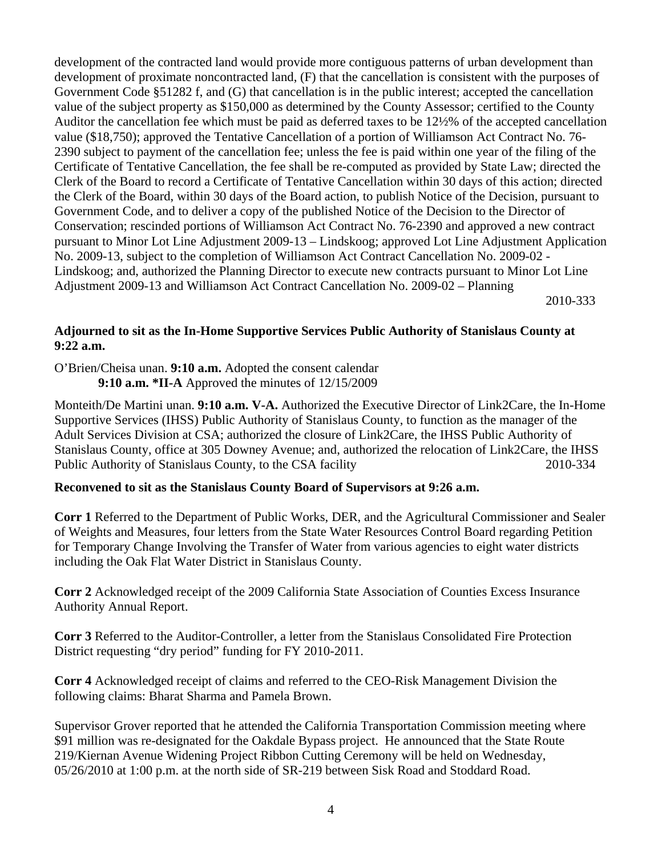development of the contracted land would provide more contiguous patterns of urban development than development of proximate noncontracted land, (F) that the cancellation is consistent with the purposes of Government Code §51282 f, and (G) that cancellation is in the public interest; accepted the cancellation value of the subject property as \$150,000 as determined by the County Assessor; certified to the County Auditor the cancellation fee which must be paid as deferred taxes to be 12½% of the accepted cancellation value (\$18,750); approved the Tentative Cancellation of a portion of Williamson Act Contract No. 76- 2390 subject to payment of the cancellation fee; unless the fee is paid within one year of the filing of the Certificate of Tentative Cancellation, the fee shall be re-computed as provided by State Law; directed the Clerk of the Board to record a Certificate of Tentative Cancellation within 30 days of this action; directed the Clerk of the Board, within 30 days of the Board action, to publish Notice of the Decision, pursuant to Government Code, and to deliver a copy of the published Notice of the Decision to the Director of Conservation; rescinded portions of Williamson Act Contract No. 76-2390 and approved a new contract pursuant to Minor Lot Line Adjustment 2009-13 – Lindskoog; approved Lot Line Adjustment Application No. 2009-13, subject to the completion of Williamson Act Contract Cancellation No. 2009-02 - Lindskoog; and, authorized the Planning Director to execute new contracts pursuant to Minor Lot Line Adjustment 2009-13 and Williamson Act Contract Cancellation No. 2009-02 – Planning

2010-333

## **Adjourned to sit as the In-Home Supportive Services Public Authority of Stanislaus County at 9:22 a.m.**

O'Brien/Cheisa unan. **9:10 a.m.** Adopted the consent calendar

**9:10 a.m. \*II-A** Approved the minutes of 12/15/2009

Monteith/De Martini unan. **9:10 a.m. V-A.** Authorized the Executive Director of Link2Care, the In-Home Supportive Services (IHSS) Public Authority of Stanislaus County, to function as the manager of the Adult Services Division at CSA; authorized the closure of Link2Care, the IHSS Public Authority of Stanislaus County, office at 305 Downey Avenue; and, authorized the relocation of Link2Care, the IHSS Public Authority of Stanislaus County, to the CSA facility 2010-334

## **Reconvened to sit as the Stanislaus County Board of Supervisors at 9:26 a.m.**

**Corr 1** Referred to the Department of Public Works, DER, and the Agricultural Commissioner and Sealer of Weights and Measures, four letters from the State Water Resources Control Board regarding Petition for Temporary Change Involving the Transfer of Water from various agencies to eight water districts including the Oak Flat Water District in Stanislaus County.

**Corr 2** Acknowledged receipt of the 2009 California State Association of Counties Excess Insurance Authority Annual Report.

**Corr 3** Referred to the Auditor-Controller, a letter from the Stanislaus Consolidated Fire Protection District requesting "dry period" funding for FY 2010-2011.

**Corr 4** Acknowledged receipt of claims and referred to the CEO-Risk Management Division the following claims: Bharat Sharma and Pamela Brown.

Supervisor Grover reported that he attended the California Transportation Commission meeting where \$91 million was re-designated for the Oakdale Bypass project. He announced that the State Route 219/Kiernan Avenue Widening Project Ribbon Cutting Ceremony will be held on Wednesday, 05/26/2010 at 1:00 p.m. at the north side of SR-219 between Sisk Road and Stoddard Road.